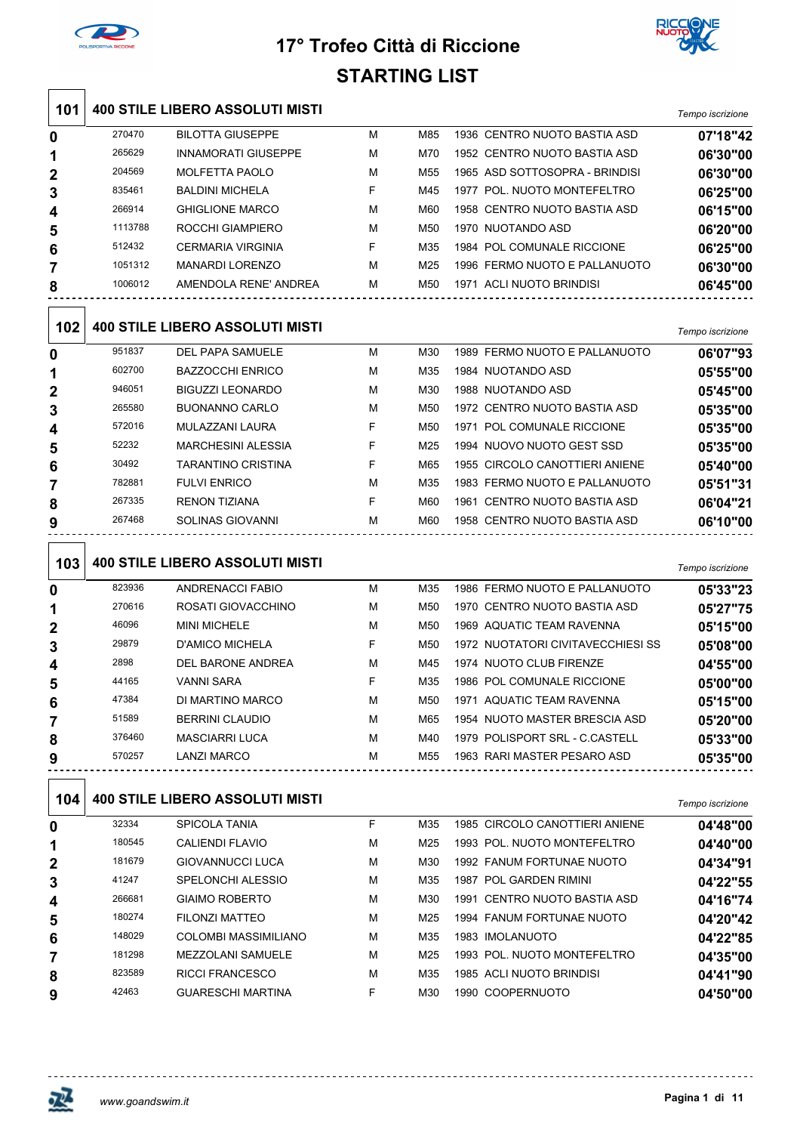



|     |         |                                        |   | ו סום טזווות |                                   |                  |
|-----|---------|----------------------------------------|---|--------------|-----------------------------------|------------------|
| 101 |         | <b>400 STILE LIBERO ASSOLUTI MISTI</b> |   |              |                                   | Tempo iscrizione |
| 0   | 270470  | <b>BILOTTA GIUSEPPE</b>                | M | M85          | 1936 CENTRO NUOTO BASTIA ASD      | 07'18"42         |
| 1   | 265629  | <b>INNAMORATI GIUSEPPE</b>             | М | M70          | 1952 CENTRO NUOTO BASTIA ASD      | 06'30"00         |
| 2   | 204569  | <b>MOLFETTA PAOLO</b>                  | м | M55          | 1965 ASD SOTTOSOPRA - BRINDISI    | 06'30"00         |
| 3   | 835461  | <b>BALDINI MICHELA</b>                 | F | M45          | 1977 POL. NUOTO MONTEFELTRO       | 06'25"00         |
| 4   | 266914  | <b>GHIGLIONE MARCO</b>                 | M | M60          | 1958 CENTRO NUOTO BASTIA ASD      | 06'15"00         |
| 5   | 1113788 | ROCCHI GIAMPIERO                       | М | M50          | 1970 NUOTANDO ASD                 | 06'20"00         |
| 6   | 512432  | <b>CERMARIA VIRGINIA</b>               | F | M35          | 1984 POL COMUNALE RICCIONE        | 06'25"00         |
| 7   | 1051312 | <b>MANARDI LORENZO</b>                 | М | M25          | 1996 FERMO NUOTO E PALLANUOTO     | 06'30"00         |
| 8   | 1006012 | AMENDOLA RENE' ANDREA                  | м | M50          | 1971 ACLI NUOTO BRINDISI          | 06'45"00         |
| 102 |         | <b>400 STILE LIBERO ASSOLUTI MISTI</b> |   |              |                                   | Tempo iscrizione |
| 0   | 951837  | DEL PAPA SAMUELE                       | М | M30          | 1989 FERMO NUOTO E PALLANUOTO     | 06'07"93         |
| 1   | 602700  | <b>BAZZOCCHI ENRICO</b>                | М | M35          | 1984 NUOTANDO ASD                 | 05'55"00         |
| 2   | 946051  | <b>BIGUZZI LEONARDO</b>                | М | M30          | 1988 NUOTANDO ASD                 | 05'45"00         |
| 3   | 265580  | <b>BUONANNO CARLO</b>                  | м | M50          | 1972 CENTRO NUOTO BASTIA ASD      | 05'35"00         |
| 4   | 572016  | MULAZZANI LAURA                        | F | M50          | 1971 POL COMUNALE RICCIONE        | 05'35"00         |
| 5   | 52232   | <b>MARCHESINI ALESSIA</b>              | F | M25          | 1994 NUOVO NUOTO GEST SSD         | 05'35"00         |
| 6   | 30492   | <b>TARANTINO CRISTINA</b>              | F | M65          | 1955 CIRCOLO CANOTTIERI ANIENE    | 05'40"00         |
| 7   | 782881  | <b>FULVI ENRICO</b>                    | M | M35          | 1983 FERMO NUOTO E PALLANUOTO     | 05'51"31         |
| 8   | 267335  | <b>RENON TIZIANA</b>                   | F | M60          | 1961 CENTRO NUOTO BASTIA ASD      | 06'04"21         |
| 9   | 267468  | <b>SOLINAS GIOVANNI</b>                | М | M60          | 1958 CENTRO NUOTO BASTIA ASD      | 06'10"00         |
| 103 |         | <b>400 STILE LIBERO ASSOLUTI MISTI</b> |   |              |                                   | Tempo iscrizione |
| 0   | 823936  | <b>ANDRENACCI FABIO</b>                | М | M35          | 1986 FERMO NUOTO E PALLANUOTO     | 05'33"23         |
| 1   | 270616  | ROSATI GIOVACCHINO                     | м | M50          | 1970 CENTRO NUOTO BASTIA ASD      | 05'27"75         |
| 2   | 46096   | <b>MINI MICHELE</b>                    | М | M50          | 1969 AQUATIC TEAM RAVENNA         | 05'15"00         |
| 3   | 29879   | <b>D'AMICO MICHELA</b>                 | F | M50          | 1972 NUOTATORI CIVITAVECCHIESI SS | 05'08"00         |
| 4   | 2898    | DEL BARONE ANDREA                      | М | M45          | 1974 NUOTO CLUB FIRENZE           | 04'55"00         |
| 5   | 44165   | <b>VANNI SARA</b>                      | F | M35          | 1986 POL COMUNALE RICCIONE        | 05'00"00         |
| 6   | 47384   | DI MARTINO MARCO                       | М | M50          | 1971 AQUATIC TEAM RAVENNA         | 05'15"00         |
| 7   | 51589   | <b>BERRINI CLAUDIO</b>                 | М | M65          | 1954 NUOTO MASTER BRESCIA ASD     | 05'20"00         |
| 8   | 376460  | <b>MASCIARRI LUCA</b>                  | м | M40          | 1979 POLISPORT SRL - C.CASTELL    | 05'33"00         |
| 9   | 570257  | <b>LANZI MARCO</b>                     | м | M55          | 1963 RARI MASTER PESARO ASD       | 05'35"00         |
| 104 |         | <b>400 STILE LIBERO ASSOLUTI MISTI</b> |   |              |                                   | Tempo iscrizione |
| 0   | 32334   | <b>SPICOLA TANIA</b>                   | F | M35          | 1985 CIRCOLO CANOTTIERI ANIENE    | 04'48"00         |
| 1   | 180545  | <b>CALIENDI FLAVIO</b>                 | М | M25          | 1993 POL. NUOTO MONTEFELTRO       | 04'40"00         |
| 2   | 181679  | GIOVANNUCCI LUCA                       | М | M30          | 1992 FANUM FORTUNAE NUOTO         | 04'34"91         |
| 3   | 41247   | SPELONCHI ALESSIO                      | М | M35          | 1987 POL GARDEN RIMINI            | 04'22"55         |
| 4   | 266681  | <b>GIAIMO ROBERTO</b>                  | М | M30          | 1991 CENTRO NUOTO BASTIA ASD      | 04'16"74         |
| 5   | 180274  | <b>FILONZI MATTEO</b>                  | М | M25          | 1994 FANUM FORTUNAE NUOTO         | 04'20"42         |
| 6   | 148029  | COLOMBI MASSIMILIANO                   | М | M35          | 1983 IMOLANUOTO                   | 04'22"85         |
| 7   | 181298  | MEZZOLANI SAMUELE                      | М | M25          | 1993 POL. NUOTO MONTEFELTRO       | 04'35"00         |
| 8   | 823589  | <b>RICCI FRANCESCO</b>                 | М | M35          | 1985 ACLI NUOTO BRINDISI          | 04'41"90         |
| 9   | 42463   | <b>GUARESCHI MARTINA</b>               | F | M30          | 1990 COOPERNUOTO                  | 04'50"00         |

**Pagina 1 di 11** *www.goandswim.it*

巫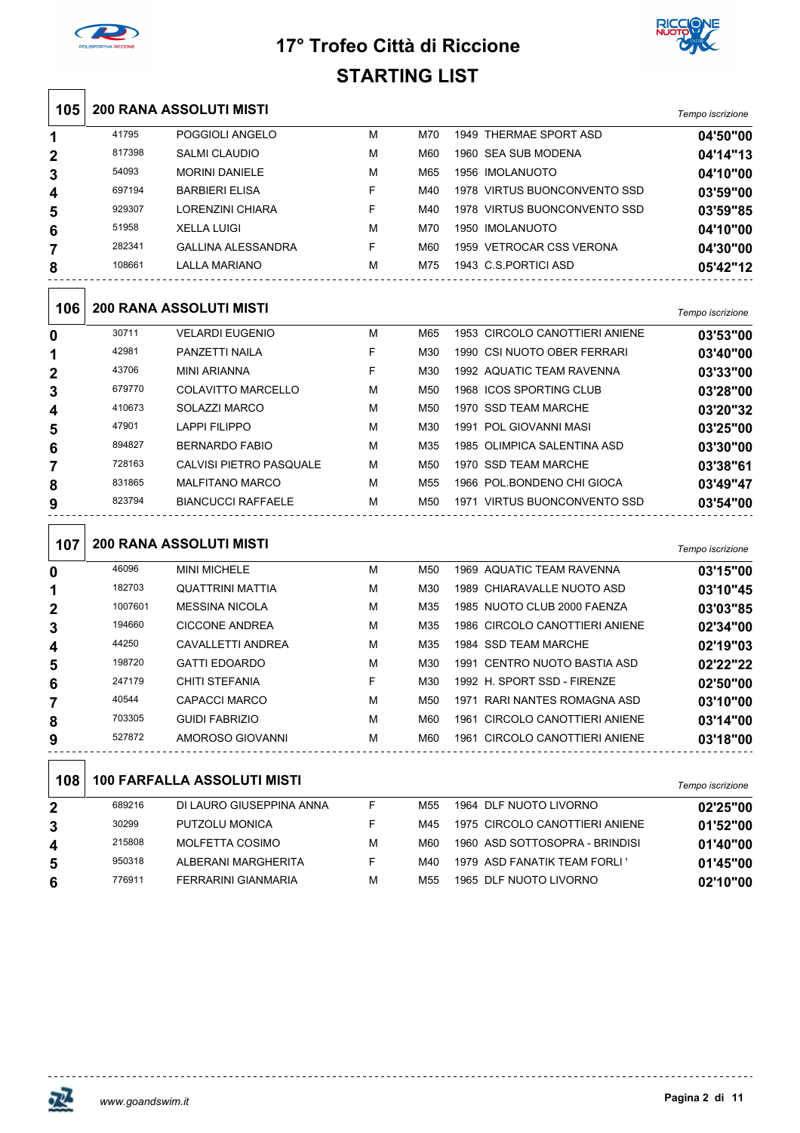



| 105          |         | <b>200 RANA ASSOLUTI MISTI</b>     |   |                 |                                | Tempo iscrizione |
|--------------|---------|------------------------------------|---|-----------------|--------------------------------|------------------|
| 1            | 41795   | POGGIOLI ANGELO                    | М | M70             | 1949 THERMAE SPORT ASD         | 04'50"00         |
| 2            | 817398  | <b>SALMI CLAUDIO</b>               | М | M60             | 1960 SEA SUB MODENA            | 04'14"13         |
| 3            | 54093   | <b>MORINI DANIELE</b>              | М | M65             | 1956 IMOLANUOTO                | 04'10"00         |
| 4            | 697194  | <b>BARBIERI ELISA</b>              | F | M40             | 1978 VIRTUS BUONCONVENTO SSD   | 03'59"00         |
| 5            | 929307  | <b>LORENZINI CHIARA</b>            | F | M40             | 1978 VIRTUS BUONCONVENTO SSD   | 03'59"85         |
| 6            | 51958   | <b>XELLA LUIGI</b>                 | м | M70             | 1950 IMOLANUOTO                | 04'10"00         |
| 7            | 282341  | <b>GALLINA ALESSANDRA</b>          | F | M60             | 1959 VETROCAR CSS VERONA       | 04'30"00         |
| 8            | 108661  | <b>LALLA MARIANO</b>               | м | M75             | 1943 C.S.PORTICI ASD           | 05'42"12         |
| 106          |         | <b>200 RANA ASSOLUTI MISTI</b>     |   |                 |                                | Tempo iscrizione |
| 0            | 30711   | <b>VELARDI EUGENIO</b>             | М | M65             | 1953 CIRCOLO CANOTTIERI ANIENE | 03'53"00         |
| 1            | 42981   | PANZETTI NAILA                     | F | M30             | 1990 CSI NUOTO OBER FERRARI    | 03'40"00         |
| $\mathbf{2}$ | 43706   | <b>MINI ARIANNA</b>                | F | M30             | 1992 AQUATIC TEAM RAVENNA      | 03'33"00         |
| 3            | 679770  | <b>COLAVITTO MARCELLO</b>          | м | M50             | 1968 ICOS SPORTING CLUB        | 03'28"00         |
| 4            | 410673  | SOLAZZI MARCO                      | М | M <sub>50</sub> | 1970 SSD TEAM MARCHE           | 03'20"32         |
| 5            | 47901   | <b>LAPPI FILIPPO</b>               | м | M30             | 1991 POL GIOVANNI MASI         | 03'25"00         |
| 6            | 894827  | <b>BERNARDO FABIO</b>              | м | M35             | 1985 OLIMPICA SALENTINA ASD    | 03'30"00         |
| 7            | 728163  | CALVISI PIETRO PASQUALE            | М | M50             | 1970 SSD TEAM MARCHE           | 03'38"61         |
| 8            | 831865  | <b>MALFITANO MARCO</b>             | м | M55             | 1966 POL.BONDENO CHI GIOCA     | 03'49"47         |
| 9            | 823794  | <b>BIANCUCCI RAFFAELE</b>          | м | M50             | 1971 VIRTUS BUONCONVENTO SSD   | 03'54"00         |
| 107          |         | <b>200 RANA ASSOLUTI MISTI</b>     |   |                 |                                | Tempo iscrizione |
| 0            | 46096   | <b>MINI MICHELE</b>                | М | M50             | 1969 AQUATIC TEAM RAVENNA      | 03'15"00         |
| 1            | 182703  | QUATTRINI MATTIA                   | м | M30             | 1989 CHIARAVALLE NUOTO ASD     | 03'10"45         |
| 2            | 1007601 | MESSINA NICOLA                     | м | M35             | 1985 NUOTO CLUB 2000 FAENZA    | 03'03"85         |
| 3            | 194660  | <b>CICCONE ANDREA</b>              | М | M35             | 1986 CIRCOLO CANOTTIERI ANIENE | 02'34"00         |
| 4            | 44250   | CAVALLETTI ANDREA                  | м | M35             | 1984 SSD TEAM MARCHE           | 02'19"03         |
| 5            | 198720  | <b>GATTI EDOARDO</b>               | м | M30             | 1991 CENTRO NUOTO BASTIA ASD   | 02'22"22         |
| 6            | 247179  | CHITI STEFANIA                     | F | M30             | 1992 H. SPORT SSD - FIRENZE    | 02'50"00         |
| 7            | 40544   | <b>CAPACCI MARCO</b>               | М | M50             | 1971 RARI NANTES ROMAGNA ASD   | 03'10"00         |
| 8            | 703305  | <b>GUIDI FABRIZIO</b>              | М | M60             | 1961 CIRCOLO CANOTTIERI ANIENE | 03'14"00         |
| 9            | 527872  | AMOROSO GIOVANNI                   | М | M60             | 1961 CIRCOLO CANOTTIERI ANIENE | 03'18"00         |
| 108          |         | <b>100 FARFALLA ASSOLUTI MISTI</b> |   |                 |                                | Tempo iscrizione |
| 2            | 689216  | DI LAURO GIUSEPPINA ANNA           | F | M55             | 1964 DLF NUOTO LIVORNO         | 02'25"00         |
| 3            | 30299   | PUTZOLU MONICA                     | F | M45             | 1975 CIRCOLO CANOTTIERI ANIENE | 01'52"00         |
| 4            | 215808  | MOLFETTA COSIMO                    | М | M60             | 1960 ASD SOTTOSOPRA - BRINDISI | 01'40"00         |
| 5            | 950318  | ALBERANI MARGHERITA                | F | M40             | 1979 ASD FANATIK TEAM FORLI'   | 01'45"00         |
| 6            | 776911  | FERRARINI GIANMARIA                | М | M55             | 1965 DLF NUOTO LIVORNO         | 02'10"00         |



 $\overline{a}$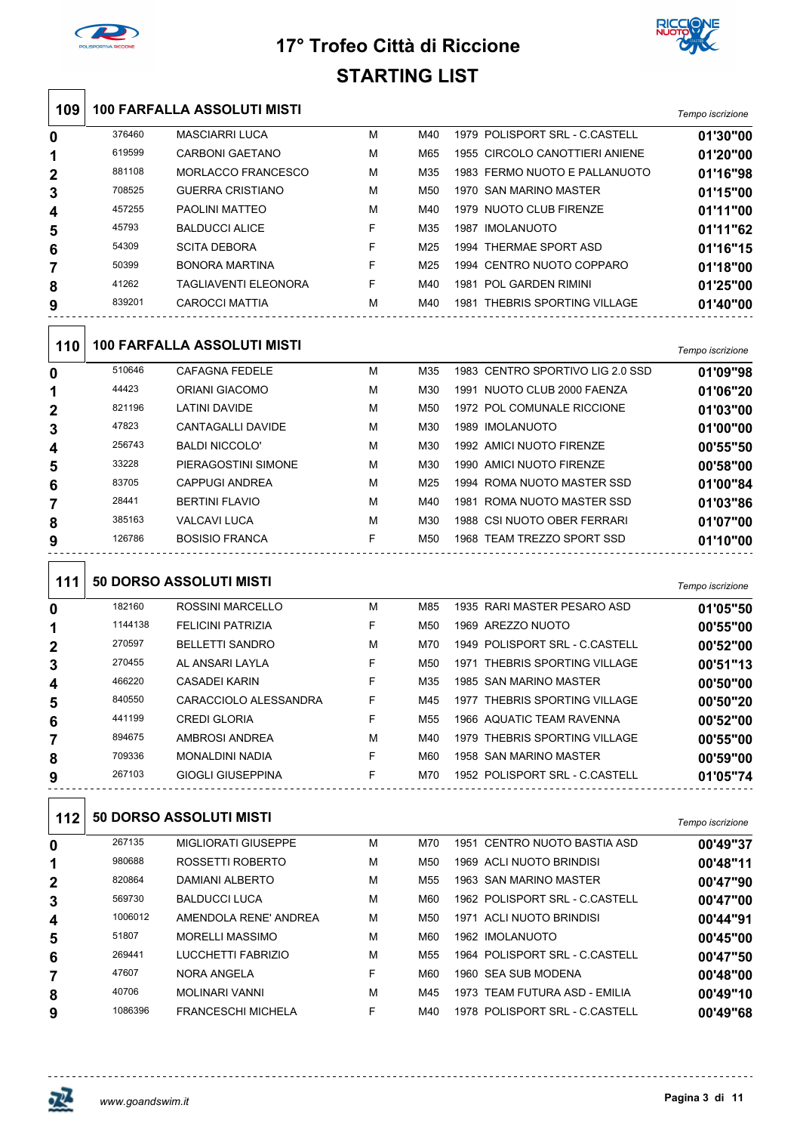



| 109          |                  | <b>100 FARFALLA ASSOLUTI MISTI</b>                  |        |     |                                  | Tempo iscrizione             |
|--------------|------------------|-----------------------------------------------------|--------|-----|----------------------------------|------------------------------|
| 0            | 376460           | <b>MASCIARRI LUCA</b>                               | M      | M40 | 1979 POLISPORT SRL - C.CASTELL   | 01'30"00                     |
| 1            | 619599           | <b>CARBONI GAETANO</b>                              | M      | M65 | 1955 CIRCOLO CANOTTIERI ANIENE   | 01'20"00                     |
| 2            | 881108           | MORLACCO FRANCESCO                                  | M      | M35 | 1983 FERMO NUOTO E PALLANUOTO    | 01'16"98                     |
| 3            | 708525           | <b>GUERRA CRISTIANO</b>                             | M      | M50 | 1970 SAN MARINO MASTER           | 01'15"00                     |
| 4            | 457255           | PAOLINI MATTEO                                      | м      | M40 | 1979 NUOTO CLUB FIRENZE          | 01'11"00                     |
| 5            | 45793            | <b>BALDUCCI ALICE</b>                               | F      | M35 | 1987 IMOLANUOTO                  | 01'11"62                     |
| 6            | 54309            | <b>SCITA DEBORA</b>                                 | F      | M25 | 1994 THERMAE SPORT ASD           | 01'16"15                     |
| 7            | 50399            | <b>BONORA MARTINA</b>                               | F      | M25 | 1994 CENTRO NUOTO COPPARO        | 01'18"00                     |
| 8            | 41262            | <b>TAGLIAVENTI ELEONORA</b>                         | F      | M40 | 1981 POL GARDEN RIMINI           | 01'25"00                     |
| 9            | 839201           | CAROCCI MATTIA                                      | M      | M40 | 1981 THEBRIS SPORTING VILLAGE    | 01'40"00                     |
| 110          |                  | <b>100 FARFALLA ASSOLUTI MISTI</b>                  |        |     |                                  | Tempo iscrizione             |
| 0            | 510646           | <b>CAFAGNA FEDELE</b>                               | M      | M35 | 1983 CENTRO SPORTIVO LIG 2.0 SSD | 01'09"98                     |
| 1            | 44423            | <b>ORIANI GIACOMO</b>                               | M      | M30 | 1991 NUOTO CLUB 2000 FAENZA      | 01'06"20                     |
| 2            | 821196           | <b>LATINI DAVIDE</b>                                | M      | M50 | 1972 POL COMUNALE RICCIONE       | 01'03"00                     |
| 3            | 47823            | CANTAGALLI DAVIDE                                   | M      | M30 | 1989 IMOLANUOTO                  | 01'00"00                     |
| 4            | 256743           | <b>BALDI NICCOLO'</b>                               | M      | M30 | 1992 AMICI NUOTO FIRENZE         | 00'55"50                     |
| 5            | 33228            | PIERAGOSTINI SIMONE                                 | М      | M30 | 1990 AMICI NUOTO FIRENZE         | 00'58"00                     |
| 6            | 83705            | <b>CAPPUGI ANDREA</b>                               | M      | M25 | 1994 ROMA NUOTO MASTER SSD       | 01'00"84                     |
| 7            | 28441            | <b>BERTINI FLAVIO</b>                               | M      | M40 | 1981 ROMA NUOTO MASTER SSD       | 01'03"86                     |
| 8            | 385163           | <b>VALCAVI LUCA</b>                                 | M      | M30 | 1988 CSI NUOTO OBER FERRARI      | 01'07"00                     |
| 9            | 126786           | <b>BOSISIO FRANCA</b>                               | F      | M50 | 1968 TEAM TREZZO SPORT SSD       | 01'10"00                     |
| 111          |                  | <b>50 DORSO ASSOLUTI MISTI</b>                      |        |     |                                  | Tempo iscrizione             |
| 0            | 182160           | <b>ROSSINI MARCELLO</b>                             | M      | M85 | 1935 RARI MASTER PESARO ASD      | 01'05"50                     |
| 1            | 1144138          | <b>FELICINI PATRIZIA</b>                            | F      | M50 | 1969 AREZZO NUOTO                | 00'55"00                     |
| $\mathbf{2}$ | 270597           | <b>BELLETTI SANDRO</b>                              | M      | M70 | 1949 POLISPORT SRL - C.CASTELL   | 00'52"00                     |
| 3            | 270455           | AL ANSARI LAYLA                                     | F      | M50 | 1971 THEBRIS SPORTING VILLAGE    | 00'51"13                     |
| 4            | 466220           | <b>CASADEI KARIN</b>                                | F      | M35 | 1985 SAN MARINO MASTER           | 00'50"00                     |
| 5            | 840550           | CARACCIOLO ALESSANDRA                               | F      | M45 | 1977 THEBRIS SPORTING VILLAGE    | 00'50"20                     |
| 6            | 441199           | <b>CREDI GLORIA</b>                                 | F      | M55 | 1966 AQUATIC TEAM RAVENNA        | 00'52"00                     |
| 7            | 894675           | AMBROSI ANDREA                                      | M      | M40 | 1979 THEBRIS SPORTING VILLAGE    | 00'55"00                     |
| 8            | 709336<br>267103 | <b>MONALDINI NADIA</b>                              | F<br>F | M60 | 1958 SAN MARINO MASTER           | 00'59"00                     |
| 9<br>112     |                  | GIOGLI GIUSEPPINA<br><b>50 DORSO ASSOLUTI MISTI</b> |        | M70 | 1952 POLISPORT SRL - C.CASTELL   | 01'05"74<br>Tempo iscrizione |
| 0            | 267135           | <b>MIGLIORATI GIUSEPPE</b>                          | м      | M70 | 1951 CENTRO NUOTO BASTIA ASD     | 00'49"37                     |
| 1            | 980688           | ROSSETTI ROBERTO                                    | м      | M50 | 1969 ACLI NUOTO BRINDISI         | 00'48"11                     |
| 2            | 820864           | DAMIANI ALBERTO                                     | м      | M55 | 1963 SAN MARINO MASTER           | 00'47"90                     |
| 3            | 569730           | <b>BALDUCCI LUCA</b>                                | М      | M60 | 1962 POLISPORT SRL - C.CASTELL   | 00'47"00                     |
| 4            | 1006012          | AMENDOLA RENE' ANDREA                               | м      | M50 | 1971 ACLI NUOTO BRINDISI         | 00'44"91                     |
| 5            | 51807            | <b>MORELLI MASSIMO</b>                              | м      | M60 | 1962 IMOLANUOTO                  | 00'45"00                     |
| 6            | 269441           | LUCCHETTI FABRIZIO                                  | М      | M55 | 1964 POLISPORT SRL - C.CASTELL   | 00'47"50                     |
| 7            | 47607            | NORA ANGELA                                         | F      | M60 | 1960 SEA SUB MODENA              | 00'48"00                     |
| 8            | 40706            | <b>MOLINARI VANNI</b>                               | M      | M45 | 1973 TEAM FUTURA ASD - EMILIA    | 00'49"10                     |
| 9            | 1086396          | <b>FRANCESCHI MICHELA</b>                           | F      | M40 | 1978 POLISPORT SRL - C.CASTELL   | 00'49"68                     |



 $\ddotsc$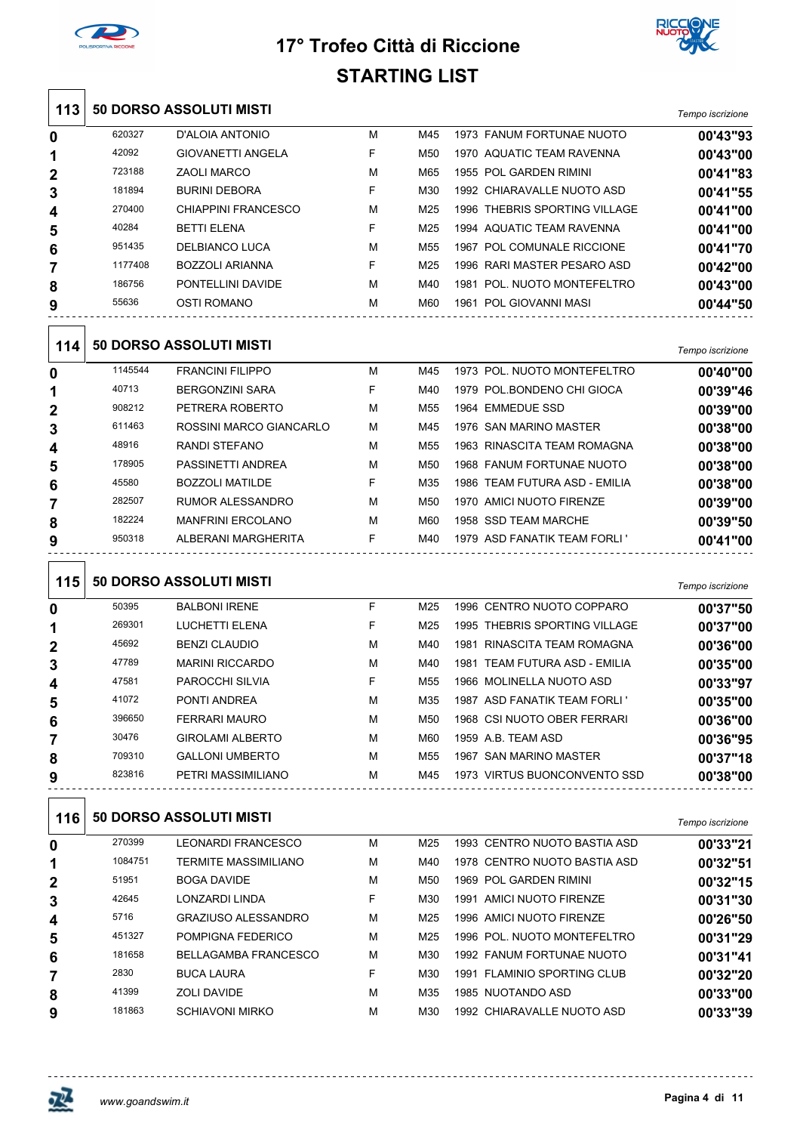



|                  |         |                                |    | ו טום טאוו ואותו |                               |                  |
|------------------|---------|--------------------------------|----|------------------|-------------------------------|------------------|
| 113              |         | <b>50 DORSO ASSOLUTI MISTI</b> |    |                  |                               | Tempo iscrizione |
| 0                | 620327  | D'ALOIA ANTONIO                | м  | M45              | 1973 FANUM FORTUNAE NUOTO     | 00'43"93         |
| 1                | 42092   | <b>GIOVANETTI ANGELA</b>       | F  | M50              | 1970 AQUATIC TEAM RAVENNA     | 00'43"00         |
| 2                | 723188  | <b>ZAOLI MARCO</b>             | M  | M65              | 1955 POL GARDEN RIMINI        | 00'41"83         |
| 3                | 181894  | <b>BURINI DEBORA</b>           | F  | M30              | 1992 CHIARAVALLE NUOTO ASD    | 00'41"55         |
| 4                | 270400  | <b>CHIAPPINI FRANCESCO</b>     | M  | M25              | 1996 THEBRIS SPORTING VILLAGE | 00'41"00         |
| 5                | 40284   | <b>BETTI ELENA</b>             | F  | M25              | 1994 AQUATIC TEAM RAVENNA     | 00'41"00         |
| 6                | 951435  | <b>DELBIANCO LUCA</b>          | М  | M <sub>55</sub>  | 1967 POL COMUNALE RICCIONE    | 00'41"70         |
| 7                | 1177408 | <b>BOZZOLI ARIANNA</b>         | F  | M25              | 1996 RARI MASTER PESARO ASD   | 00'42"00         |
| 8                | 186756  | PONTELLINI DAVIDE              | м  | M40              | 1981 POL. NUOTO MONTEFELTRO   | 00'43"00         |
| 9                | 55636   | OSTI ROMANO                    | м  | M60              | 1961 POL GIOVANNI MASI        | 00'44"50         |
| 114              |         | 50 DORSO ASSOLUTI MISTI        |    |                  |                               | Tempo iscrizione |
| 0                | 1145544 | <b>FRANCINI FILIPPO</b>        | М  | M45              | 1973 POL. NUOTO MONTEFELTRO   | 00'40"00         |
| 1                | 40713   | <b>BERGONZINI SARA</b>         | F  | M40              | 1979 POL BONDENO CHI GIOCA    | 00'39"46         |
| $\mathbf{2}$     | 908212  | PETRERA ROBERTO                | М  | M <sub>55</sub>  | 1964 EMMEDUE SSD              | 00'39"00         |
| 3                | 611463  | ROSSINI MARCO GIANCARLO        | М  | M45              | 1976 SAN MARINO MASTER        | 00'38"00         |
| 4                | 48916   | <b>RANDI STEFANO</b>           | М  | M55              | 1963 RINASCITA TEAM ROMAGNA   | 00'38"00         |
| 5                | 178905  | PASSINETTI ANDREA              | М  | M50              | 1968 FANUM FORTUNAE NUOTO     | 00'38"00         |
| 6                | 45580   | <b>BOZZOLI MATILDE</b>         | F  | M35              | 1986 TEAM FUTURA ASD - EMILIA | 00'38"00         |
| 7                | 282507  | <b>RUMOR ALESSANDRO</b>        | М  | M50              | 1970 AMICI NUOTO FIRENZE      | 00'39"00         |
| 8                | 182224  | <b>MANFRINI ERCOLANO</b>       | М  | M60              | 1958 SSD TEAM MARCHE          | 00'39"50         |
| 9                | 950318  | ALBERANI MARGHERITA            | F. | M40              | 1979 ASD FANATIK TEAM FORLI'  | 00'41"00         |
| 115              |         | 50 DORSO ASSOLUTI MISTI        |    |                  |                               | Tempo iscrizione |
| 0                | 50395   | <b>BALBONI IRENE</b>           | F  | M25              | 1996 CENTRO NUOTO COPPARO     | 00'37"50         |
| 1                | 269301  | LUCHETTI ELENA                 | F  | M25              | 1995 THEBRIS SPORTING VILLAGE | 00'37"00         |
| 2                | 45692   | <b>BENZI CLAUDIO</b>           | M  | M40              | 1981 RINASCITA TEAM ROMAGNA   | 00'36"00         |
| 3                | 47789   | <b>MARINI RICCARDO</b>         | M  | M40              | 1981 TEAM FUTURA ASD - EMILIA | 00'35"00         |
| 4                | 47581   | PAROCCHI SILVIA                | F  | M55              | 1966 MOLINELLA NUOTO ASD      | 00'33"97         |
| 5                | 41072   | PONTI ANDREA                   | М  | M35              | 1987 ASD FANATIK TEAM FORLI ' | 00'35"00         |
| 6                | 396650  | <b>FERRARI MAURO</b>           | М  | M50              | 1968 CSI NUOTO OBER FERRARI   | 00'36"00         |
| 7                | 30476   | <b>GIROLAMI ALBERTO</b>        | м  | M60              | 1959 A.B. TEAM ASD            | 00'36"95         |
| 8                | 709310  | <b>GALLONI UMBERTO</b>         | м  | M55              | 1967 SAN MARINO MASTER        | 00'37"18         |
| 9                | 823816  | PETRI MASSIMILIANO             | м  | M45              | 1973 VIRTUS BUONCONVENTO SSD  | 00'38"00         |
| 116              |         | 50 DORSO ASSOLUTI MISTI        |    |                  |                               | Tempo iscrizione |
| $\boldsymbol{0}$ | 270399  | LEONARDI FRANCESCO             | м  | M25              | 1993 CENTRO NUOTO BASTIA ASD  | 00'33"21         |
| 1                | 1084751 | <b>TERMITE MASSIMILIANO</b>    | м  | M40              | 1978 CENTRO NUOTO BASTIA ASD  | 00'32"51         |
| 2                | 51951   | <b>BOGA DAVIDE</b>             | М  | M50              | 1969 POL GARDEN RIMINI        | 00'32"15         |
| 3                | 42645   | LONZARDI LINDA                 | F  | M30              | 1991 AMICI NUOTO FIRENZE      | 00'31"30         |
| 4                | 5716    | <b>GRAZIUSO ALESSANDRO</b>     | M  | M25              | 1996 AMICI NUOTO FIRENZE      | 00'26"50         |
| 5                | 451327  | POMPIGNA FEDERICO              | М  | M25              | 1996 POL. NUOTO MONTEFELTRO   | 00'31"29         |
| 6                | 181658  | <b>BELLAGAMBA FRANCESCO</b>    | м  | M30              | 1992 FANUM FORTUNAE NUOTO     | 00'31"41         |
| 7                | 2830    | <b>BUCA LAURA</b>              | F  | M30              | 1991 FLAMINIO SPORTING CLUB   | 00'32"20         |
| 8                | 41399   | <b>ZOLI DAVIDE</b>             | М  | M35              | 1985 NUOTANDO ASD             | 00'33"00         |
| 9                | 181863  | <b>SCHIAVONI MIRKO</b>         | м  | M30              | 1992 CHIARAVALLE NUOTO ASD    | 00'33"39         |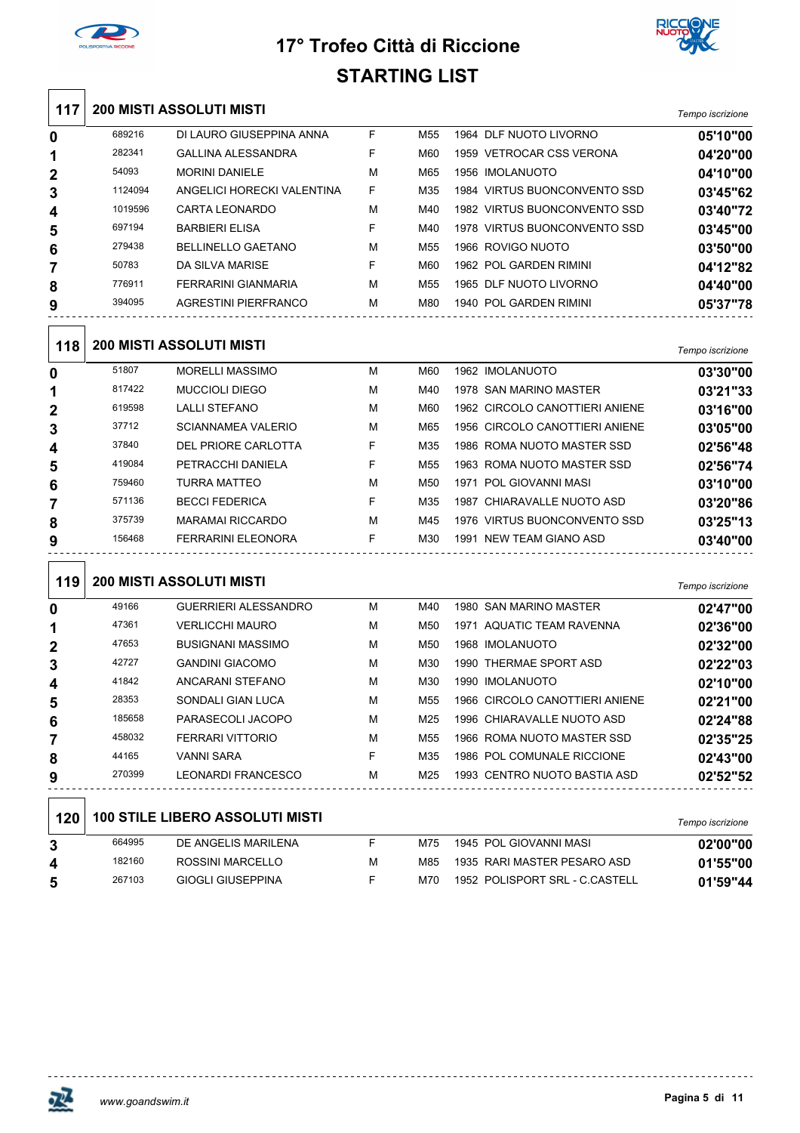



| 117            |         | <b>200 MISTI ASSOLUTI MISTI</b>        |    |     |                                | Tempo iscrizione |
|----------------|---------|----------------------------------------|----|-----|--------------------------------|------------------|
| 0              | 689216  | DI LAURO GIUSEPPINA ANNA               | F  | M55 | 1964 DLF NUOTO LIVORNO         | 05'10"00         |
| 1              | 282341  | <b>GALLINA ALESSANDRA</b>              | F  | M60 | 1959 VETROCAR CSS VERONA       | 04'20"00         |
| $\overline{2}$ | 54093   | <b>MORINI DANIELE</b>                  | M  | M65 | 1956 IMOLANUOTO                | 04'10"00         |
| 3              | 1124094 | ANGELICI HORECKI VALENTINA             | F  | M35 | 1984 VIRTUS BUONCONVENTO SSD   | 03'45"62         |
| 4              | 1019596 | <b>CARTA LEONARDO</b>                  | М  | M40 | 1982 VIRTUS BUONCONVENTO SSD   | 03'40"72         |
| 5              | 697194  | <b>BARBIERI ELISA</b>                  | F  | M40 | 1978 VIRTUS BUONCONVENTO SSD   | 03'45"00         |
| 6              | 279438  | <b>BELLINELLO GAETANO</b>              | M  | M55 | 1966 ROVIGO NUOTO              | 03'50"00         |
| 7              | 50783   | DA SILVA MARISE                        | F  | M60 | 1962 POL GARDEN RIMINI         | 04'12"82         |
| 8              | 776911  | FERRARINI GIANMARIA                    | M  | M55 | 1965 DLF NUOTO LIVORNO         | 04'40"00         |
| 9              | 394095  | AGRESTINI PIERFRANCO                   | M  | M80 | 1940 POL GARDEN RIMINI         | 05'37"78         |
| 118            |         | <b>200 MISTI ASSOLUTI MISTI</b>        |    |     |                                | Tempo iscrizione |
| 0              | 51807   | <b>MORELLI MASSIMO</b>                 | М  | M60 | 1962 IMOLANUOTO                | 03'30"00         |
| 1              | 817422  | <b>MUCCIOLI DIEGO</b>                  | М  | M40 | 1978 SAN MARINO MASTER         | 03'21"33         |
| 2              | 619598  | <b>LALLI STEFANO</b>                   | М  | M60 | 1962 CIRCOLO CANOTTIERI ANIENE | 03'16"00         |
| 3              | 37712   | <b>SCIANNAMEA VALERIO</b>              | М  | M65 | 1956 CIRCOLO CANOTTIERI ANIENE | 03'05"00         |
| 4              | 37840   | DEL PRIORE CARLOTTA                    | F  | M35 | 1986 ROMA NUOTO MASTER SSD     | 02'56"48         |
| 5              | 419084  | PETRACCHI DANIELA                      | F  | M55 | 1963 ROMA NUOTO MASTER SSD     | 02'56"74         |
| 6              | 759460  | <b>TURRA MATTEO</b>                    | M  | M50 | 1971 POL GIOVANNI MASI         | 03'10"00         |
| 7              | 571136  | <b>BECCI FEDERICA</b>                  | F  | M35 | 1987 CHIARAVALLE NUOTO ASD     | 03'20"86         |
| 8              | 375739  | <b>MARAMAI RICCARDO</b>                | M  | M45 | 1976 VIRTUS BUONCONVENTO SSD   | 03'25"13         |
| 9              | 156468  | FERRARINI ELEONORA                     | F  | M30 | 1991 NEW TEAM GIANO ASD        | 03'40"00         |
| 119            |         | <b>200 MISTI ASSOLUTI MISTI</b>        |    |     |                                | Tempo iscrizione |
| 0              | 49166   | <b>GUERRIERI ALESSANDRO</b>            | М  | M40 | 1980 SAN MARINO MASTER         | 02'47"00         |
| 1              | 47361   | <b>VERLICCHI MAURO</b>                 | M  | M50 | 1971 AQUATIC TEAM RAVENNA      | 02'36"00         |
| 2              | 47653   | <b>BUSIGNANI MASSIMO</b>               | M  | M50 | 1968 IMOLANUOTO                | 02'32"00         |
| 3              | 42727   | <b>GANDINI GIACOMO</b>                 | М  | M30 | 1990 THERMAE SPORT ASD         | 02'22"03         |
| 4              | 41842   | ANCARANI STEFANO                       | М  | M30 | 1990 IMOLANUOTO                | 02'10"00         |
| 5              | 28353   | SONDALI GIAN LUCA                      | М  | M55 | 1966 CIRCOLO CANOTTIERI ANIENE | 02'21"00         |
| 6              | 185658  | PARASECOLI JACOPO                      | М  | M25 | 1996 CHIARAVALLE NUOTO ASD     | 02'24"88         |
| 7              | 458032  | FERRARI VITTORIO                       | М  | M55 | 1966 ROMA NUOTO MASTER SSD     | 02'35"25         |
| 8              | 44165   | <b>VANNI SARA</b>                      | F  | M35 | 1986 POL COMUNALE RICCIONE     | 02'43"00         |
| 9              | 270399  | LEONARDI FRANCESCO                     | М  | M25 | 1993 CENTRO NUOTO BASTIA ASD   | 02'52"52         |
| 120            |         | <b>100 STILE LIBERO ASSOLUTI MISTI</b> |    |     |                                |                  |
|                |         |                                        |    |     |                                | Tempo iscrizione |
| 3              | 664995  | DE ANGELIS MARILENA                    | F. | M75 | 1945 POL GIOVANNI MASI         | 02'00"00         |
| 4              | 182160  | ROSSINI MARCELLO                       | М  | M85 | 1935 RARI MASTER PESARO ASD    | 01'55"00         |
| 5              | 267103  | <b>GIOGLI GIUSEPPINA</b>               | F  | M70 | 1952 POLISPORT SRL - C.CASTELL | 01'59"44         |

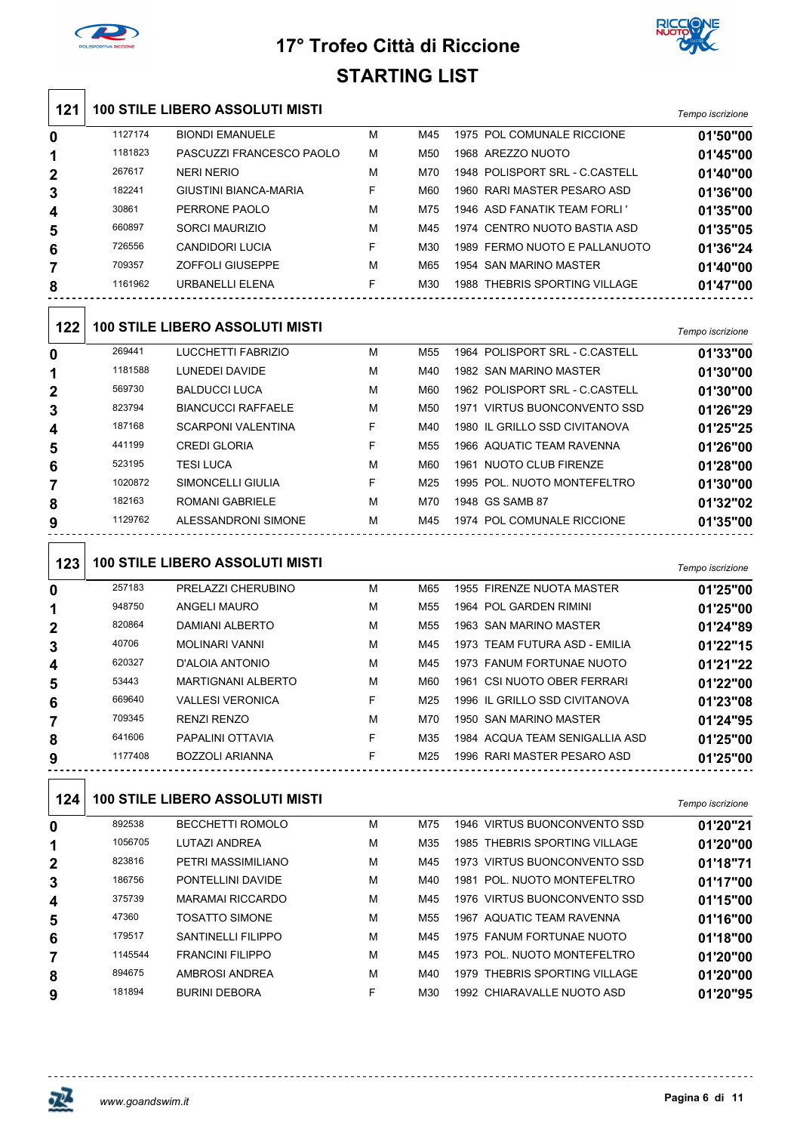



| 121              |         | <b>100 STILE LIBERO ASSOLUTI MISTI</b> |    |                 |                                | Tempo iscrizione |
|------------------|---------|----------------------------------------|----|-----------------|--------------------------------|------------------|
| 0                | 1127174 | <b>BIONDI EMANUELE</b>                 | М  | M45             | 1975 POL COMUNALE RICCIONE     | 01'50"00         |
| 1                | 1181823 | PASCUZZI FRANCESCO PAOLO               | М  | M50             | 1968 AREZZO NUOTO              | 01'45"00         |
| 2                | 267617  | <b>NERI NERIO</b>                      | М  | M70             | 1948 POLISPORT SRL - C.CASTELL | 01'40"00         |
| 3                | 182241  | GIUSTINI BIANCA-MARIA                  | F  | M60             | 1960 RARI MASTER PESARO ASD    | 01'36"00         |
| 4                | 30861   | PERRONE PAOLO                          | М  | M75             | 1946 ASD FANATIK TEAM FORLI '  | 01'35"00         |
| 5                | 660897  | <b>SORCI MAURIZIO</b>                  | M  | M45             | 1974 CENTRO NUOTO BASTIA ASD   | 01'35"05         |
| 6                | 726556  | <b>CANDIDORI LUCIA</b>                 | F  | M30             | 1989 FERMO NUOTO E PALLANUOTO  | 01'36"24         |
| 7                | 709357  | <b>ZOFFOLI GIUSEPPE</b>                | М  | M65             | 1954 SAN MARINO MASTER         | 01'40"00         |
| 8                | 1161962 | URBANELLI ELENA                        | F  | M30             | 1988 THEBRIS SPORTING VILLAGE  | 01'47"00         |
| 122              |         | <b>100 STILE LIBERO ASSOLUTI MISTI</b> |    |                 |                                | Tempo iscrizione |
| $\boldsymbol{0}$ | 269441  | LUCCHETTI FABRIZIO                     | М  | M55             | 1964 POLISPORT SRL - C.CASTELL | 01'33"00         |
| 1                | 1181588 | LUNEDEI DAVIDE                         | М  | M40             | 1982 SAN MARINO MASTER         | 01'30"00         |
| 2                | 569730  | <b>BALDUCCI LUCA</b>                   | М  | M60             | 1962 POLISPORT SRL - C.CASTELL | 01'30"00         |
| 3                | 823794  | <b>BIANCUCCI RAFFAELE</b>              | M  | M <sub>50</sub> | 1971 VIRTUS BUONCONVENTO SSD   | 01'26"29         |
| 4                | 187168  | <b>SCARPONI VALENTINA</b>              | F  | M40             | 1980 IL GRILLO SSD CIVITANOVA  | 01'25"25         |
| 5                | 441199  | <b>CREDI GLORIA</b>                    | F  | M55             | 1966 AQUATIC TEAM RAVENNA      | 01'26"00         |
| 6                | 523195  | <b>TESI LUCA</b>                       | M  | M60             | 1961 NUOTO CLUB FIRENZE        | 01'28"00         |
| 7                | 1020872 | SIMONCELLI GIULIA                      | F  | M25             | 1995 POL. NUOTO MONTEFELTRO    | 01'30"00         |
| 8                | 182163  | ROMANI GABRIELE                        | М  | M70             | 1948 GS SAMB 87                | 01'32"02         |
| 9                | 1129762 | ALESSANDRONI SIMONE                    | М  | M45             | 1974 POL COMUNALE RICCIONE     | 01'35"00         |
|                  |         |                                        |    |                 |                                |                  |
| 123              |         | <b>100 STILE LIBERO ASSOLUTI MISTI</b> |    |                 |                                | Tempo iscrizione |
| $\boldsymbol{0}$ | 257183  | PRELAZZI CHERUBINO                     | M  | M65             | 1955 FIRENZE NUOTA MASTER      | 01'25"00         |
| 1                | 948750  | <b>ANGELI MAURO</b>                    | М  | M55             | 1964 POL GARDEN RIMINI         | 01'25"00         |
| $\mathbf{2}$     | 820864  | <b>DAMIANI ALBERTO</b>                 | М  | M <sub>55</sub> | 1963 SAN MARINO MASTER         | 01'24"89         |
| 3                | 40706   | <b>MOLINARI VANNI</b>                  | М  | M45             | 1973 TEAM FUTURA ASD - EMILIA  | 01'22"15         |
| 4                | 620327  | D'ALOIA ANTONIO                        | М  | M45             | 1973 FANUM FORTUNAE NUOTO      | 01'21"22         |
| 5                | 53443   | MARTIGNANI ALBERTO                     | м  | M60             | 1961 CSI NUOTO OBER FERRARI    | 01'22"00         |
| 6                | 669640  | <b>VALLESI VERONICA</b>                | F  | M25             | 1996 IL GRILLO SSD CIVITANOVA  | 01'23"08         |
| 7                | 709345  | <b>RENZI RENZO</b>                     | М  | M70             | 1950 SAN MARINO MASTER         | 01'24"95         |
| 8                | 641606  | PAPALINI OTTAVIA                       | F. | M35             | 1984 ACQUA TEAM SENIGALLIA ASD | 01'25"00         |
| 9                | 1177408 | <b>BOZZOLI ARIANNA</b>                 | F. | M25             | 1996 RARI MASTER PESARO ASD    | 01'25"00         |
| 124              |         | <b>100 STILE LIBERO ASSOLUTI MISTI</b> |    |                 |                                |                  |
|                  | 892538  |                                        |    |                 |                                | Tempo iscrizione |
| $\boldsymbol{0}$ |         | <b>BECCHETTI ROMOLO</b>                | м  | M75             | 1946 VIRTUS BUONCONVENTO SSD   | 01'20"21         |
| 1                | 1056705 | LUTAZI ANDREA                          | М  | M35             | 1985 THEBRIS SPORTING VILLAGE  | 01'20"00         |
| 2                | 823816  | PETRI MASSIMILIANO                     | М  | M45             | 1973 VIRTUS BUONCONVENTO SSD   | 01'18"71         |
| 3                | 186756  | PONTELLINI DAVIDE                      | М  | M40             | 1981 POL. NUOTO MONTEFELTRO    | 01'17"00         |
| 4                | 375739  | <b>MARAMAI RICCARDO</b>                | М  | M45             | 1976 VIRTUS BUONCONVENTO SSD   | 01'15"00         |
| 5                | 47360   | <b>TOSATTO SIMONE</b>                  | М  | M55             | 1967 AQUATIC TEAM RAVENNA      | 01'16"00         |
| 6                | 179517  | <b>SANTINELLI FILIPPO</b>              | М  | M45             | 1975 FANUM FORTUNAE NUOTO      | 01'18"00         |
| 7                | 1145544 | <b>FRANCINI FILIPPO</b>                | М  | M45             | 1973 POL. NUOTO MONTEFELTRO    | 01'20"00         |
| 8                | 894675  | AMBROSI ANDREA                         | М  | M40             | 1979 THEBRIS SPORTING VILLAGE  | 01'20"00         |
| 9                | 181894  | <b>BURINI DEBORA</b>                   | F  | M30             | 1992 CHIARAVALLE NUOTO ASD     | 01'20"95         |

JQ.

 $\overline{a}$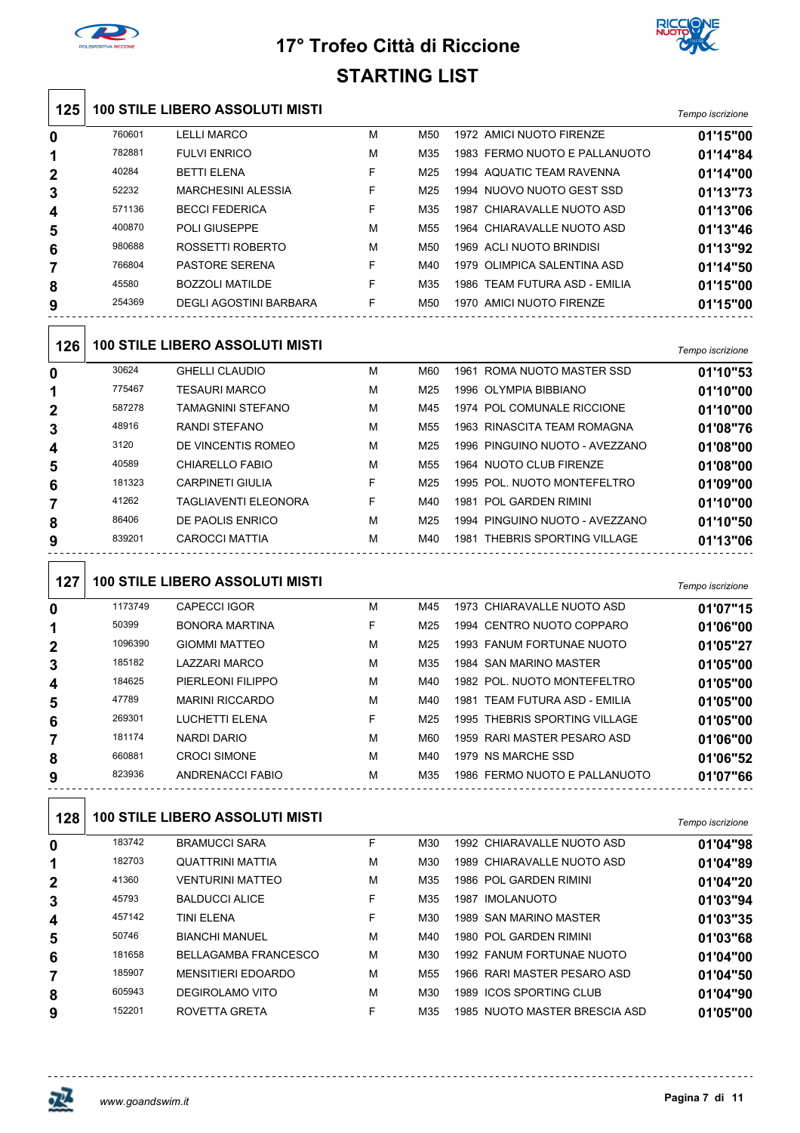



| <b>STARTING LIST</b> |  |  |
|----------------------|--|--|
|                      |  |  |

| 125            |         | <b>100 STILE LIBERO ASSOLUTI MISTI</b> |   |                 |                                |                  |
|----------------|---------|----------------------------------------|---|-----------------|--------------------------------|------------------|
|                |         |                                        |   |                 |                                | Tempo iscrizione |
| 0              | 760601  | <b>LELLI MARCO</b>                     | М | M50             | 1972 AMICI NUOTO FIRENZE       | 01'15"00         |
| 1              | 782881  | <b>FULVI ENRICO</b>                    | М | M35             | 1983 FERMO NUOTO E PALLANUOTO  | 01'14"84         |
| $\overline{2}$ | 40284   | <b>BETTI ELENA</b>                     | F | M25             | 1994 AQUATIC TEAM RAVENNA      | 01'14"00         |
| 3              | 52232   | <b>MARCHESINI ALESSIA</b>              | F | M25             | 1994 NUOVO NUOTO GEST SSD      | 01'13"73         |
| 4              | 571136  | <b>BECCI FEDERICA</b>                  | F | M35             | 1987 CHIARAVALLE NUOTO ASD     | 01'13"06         |
| 5              | 400870  | POLI GIUSEPPE                          | М | M <sub>55</sub> | 1964 CHIARAVALLE NUOTO ASD     | 01'13"46         |
| 6              | 980688  | ROSSETTI ROBERTO                       | М | M50             | 1969 ACLI NUOTO BRINDISI       | 01'13"92         |
| 7              | 766804  | <b>PASTORE SERENA</b>                  | F | M40             | 1979 OLIMPICA SALENTINA ASD    | 01'14"50         |
| 8              | 45580   | <b>BOZZOLI MATILDE</b>                 | F | M35             | 1986 TEAM FUTURA ASD - EMILIA  | 01'15"00         |
| 9              | 254369  | <b>DEGLI AGOSTINI BARBARA</b>          | F | M50             | 1970 AMICI NUOTO FIRENZE       | 01'15"00         |
| 126            |         | <b>100 STILE LIBERO ASSOLUTI MISTI</b> |   |                 |                                | Tempo iscrizione |
| 0              | 30624   | <b>GHELLI CLAUDIO</b>                  | М | M60             | 1961 ROMA NUOTO MASTER SSD     | 01'10"53         |
| 1              | 775467  | <b>TESAURI MARCO</b>                   | М | M25             | 1996 OLYMPIA BIBBIANO          | 01'10"00         |
| 2              | 587278  | <b>TAMAGNINI STEFANO</b>               | М | M45             | 1974 POL COMUNALE RICCIONE     | 01'10"00         |
| 3              | 48916   | <b>RANDI STEFANO</b>                   | М | M <sub>55</sub> | 1963 RINASCITA TEAM ROMAGNA    | 01'08"76         |
| 4              | 3120    | DE VINCENTIS ROMEO                     | м | M25             | 1996 PINGUINO NUOTO - AVEZZANO | 01'08"00         |
| 5              | 40589   | <b>CHIARELLO FABIO</b>                 | м | M <sub>55</sub> | 1964 NUOTO CLUB FIRENZE        | 01'08"00         |
| 6              | 181323  | <b>CARPINETI GIULIA</b>                | F | M25             | 1995 POL. NUOTO MONTEFELTRO    | 01'09"00         |
| 7              | 41262   | <b>TAGLIAVENTI ELEONORA</b>            | F | M40             | 1981 POL GARDEN RIMINI         | 01'10"00         |
| 8              | 86406   | DE PAOLIS ENRICO                       | м | M25             | 1994 PINGUINO NUOTO - AVEZZANO | 01'10"50         |
| 9              | 839201  | <b>CAROCCI MATTIA</b>                  | М | M40             | 1981 THEBRIS SPORTING VILLAGE  | 01'13"06         |
| 127            |         | <b>100 STILE LIBERO ASSOLUTI MISTI</b> |   |                 |                                | Tempo iscrizione |
| 0              | 1173749 | <b>CAPECCI IGOR</b>                    | М | M45             | 1973 CHIARAVALLE NUOTO ASD     | 01'07"15         |
|                | 50399   | <b>BONORA MARTINA</b>                  | F | M25             | 1994 CENTRO NUOTO COPPARO      | 01'06"00         |
| 2              | 1096390 | <b>GIOMMI MATTEO</b>                   | м | M25             | 1993 FANUM FORTUNAE NUOTO      | 01'05"27         |

| 47789  | <b>MARINI RICCARDO</b> | м | M40        | 1981 TEAM FUTURA ASD - EMILIA | 01'05"00 |
|--------|------------------------|---|------------|-------------------------------|----------|
| 269301 | LUCHETTI ELENA         |   | M25        | 1995 THEBRIS SPORTING VILLAGE | 01'05"00 |
| 181174 | NARDI DARIO            | м | <b>M60</b> | 1959 RARI MASTER PESARO ASD   | 01'06"00 |
| 660881 | <b>CROCI SIMONE</b>    | м | M40        | 1979 NS MARCHE SSD            | 01'06"52 |
| 823936 | ANDRENACCI FABIO       | м | M35        | 1986 FERMO NUOTO E PALLANUOTO | 01'07"66 |
|        |                        |   |            |                               |          |

#### **100 STILE LIBERO ASSOLUTI MISTI** *Tempo iscrizione*

|        |                             |   |     |                               | i empo iscrizione                                       |
|--------|-----------------------------|---|-----|-------------------------------|---------------------------------------------------------|
| 183742 | <b>BRAMUCCI SARA</b>        | F | M30 | 1992 CHIARAVALLE NUOTO ASD    | 01'04"98                                                |
| 182703 | <b>QUATTRINI MATTIA</b>     | M | M30 | 1989 CHIARAVALLE NUOTO ASD    | 01'04"89                                                |
| 41360  | <b>VENTURINI MATTEO</b>     | M | M35 | 1986 POL GARDEN RIMINI        | 01'04"20                                                |
| 45793  | <b>BALDUCCI ALICE</b>       | F | M35 | <b>IMOLANUOTO</b><br>1987     | 01'03"94                                                |
| 457142 | <b>TINI ELENA</b>           | F | M30 | 1989 SAN MARINO MASTER        | 01'03"35                                                |
| 50746  | <b>BIANCHI MANUEL</b>       | M | M40 | 1980 POL GARDEN RIMINI        | 01'03"68                                                |
| 181658 | <b>BELLAGAMBA FRANCESCO</b> | M | M30 | 1992 FANUM FORTUNAE NUOTO     | 01'04"00                                                |
| 185907 | <b>MENSITIERI EDOARDO</b>   | M | M55 | 1966 RARI MASTER PESARO ASD   | 01'04"50                                                |
| 605943 | DEGIROLAMO VITO             | M | M30 | 1989 ICOS SPORTING CLUB       | 01'04"90                                                |
| 152201 | ROVETTA GRETA               | F | M35 | 1985 NUOTO MASTER BRESCIA ASD | 01'05"00                                                |
|        |                             |   |     |                               | I Y Y Y I I E E EI BEI \ Y / \ Y Y Y E Y I I IIII Y I I |

LAZZARI MARCO M M35 1984 SAN MARINO MASTER **01'05"00**

PIERLEONI FILIPPO M M40 1982 POL. NUOTO MONTEFELTRO **01'05"00**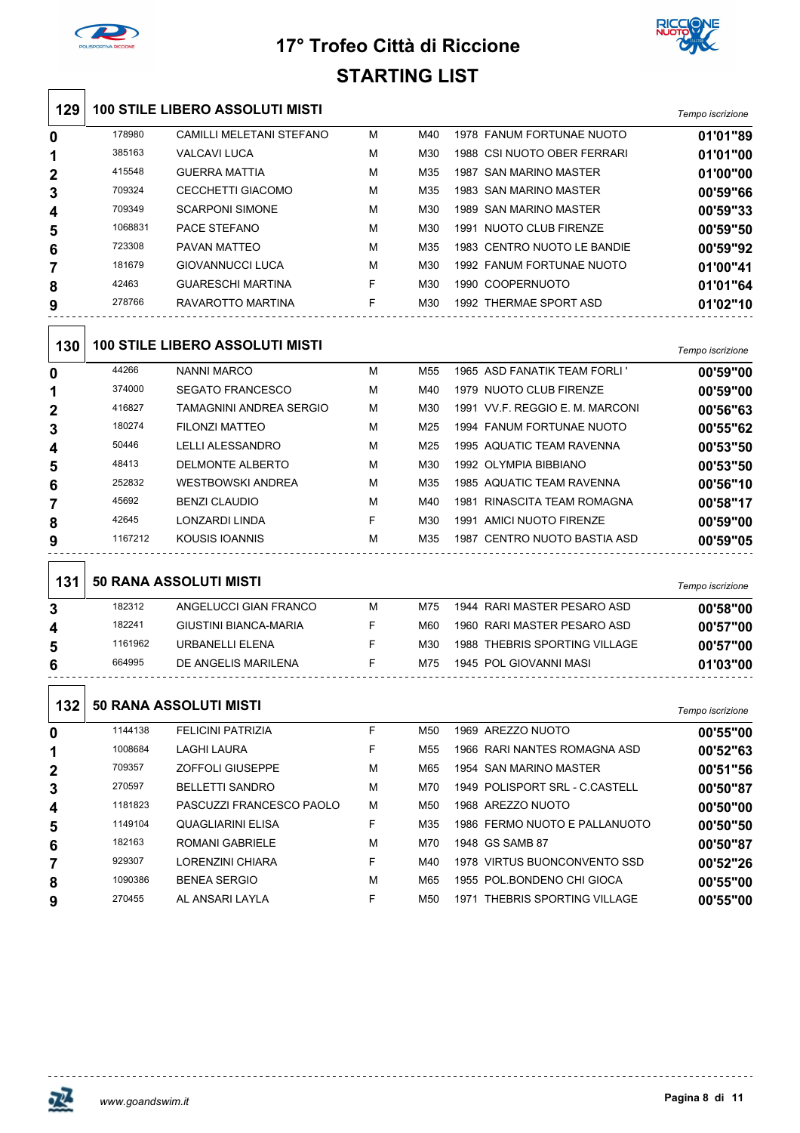

 $\sqrt{2}$ 

## **17° Trofeo Città di Riccione STARTING LIST**



| 129              |         | <b>100 STILE LIBERO ASSOLUTI MISTI</b> |   |     |                  |                             | Tempo iscrizione |
|------------------|---------|----------------------------------------|---|-----|------------------|-----------------------------|------------------|
| 0                | 178980  | <b>CAMILLI MELETANI STEFANO</b>        | M | M40 |                  | 1978 FANUM FORTUNAE NUOTO   | 01'01"89         |
| 1                | 385163  | <b>VALCAVI LUCA</b>                    | M | M30 |                  | 1988 CSI NUOTO OBER FERRARI | 01'01"00         |
| $\mathbf{2}$     | 415548  | <b>GUERRA MATTIA</b>                   | M | M35 | 1987             | <b>SAN MARINO MASTER</b>    | 01'00"00         |
| 3                | 709324  | CECCHETTI GIACOMO                      | M | M35 |                  | 1983 SAN MARINO MASTER      | 00'59"66         |
| $\boldsymbol{4}$ | 709349  | <b>SCARPONI SIMONE</b>                 | M | M30 | 1989             | <b>SAN MARINO MASTER</b>    | 00'59"33         |
| 5                | 1068831 | PACE STEFANO                           | M | M30 |                  | 1991 NUOTO CLUB FIRENZE     | 00'59"50         |
| 6                | 723308  | PAVAN MATTEO                           | M | M35 |                  | 1983 CENTRO NUOTO LE BANDIE | 00'59"92         |
| 7                | 181679  | <b>GIOVANNUCCI LUCA</b>                | M | M30 |                  | 1992 FANUM FORTUNAE NUOTO   | 01'00"41         |
| 8                | 42463   | <b>GUARESCHI MARTINA</b>               | F | M30 | 1990 COOPERNUOTO |                             | 01'01"64         |
| 9                | 278766  | RAVAROTTO MARTINA                      | F | M30 |                  | 1992 THERMAE SPORT ASD      | 01'02"10         |

| 130            |         | <b>100 STILE LIBERO ASSOLUTI MISTI</b> |   |     |                                 | Tempo iscrizione |
|----------------|---------|----------------------------------------|---|-----|---------------------------------|------------------|
| $\bf{0}$       | 44266   | NANNI MARCO                            | М | M55 | 1965 ASD FANATIK TEAM FORLI '   | 00'59"00         |
| 1              | 374000  | <b>SEGATO FRANCESCO</b>                | M | M40 | 1979 NUOTO CLUB FIRENZE         | 00'59"00         |
| $\overline{2}$ | 416827  | TAMAGNINI ANDREA SERGIO                | М | M30 | 1991 VV F. REGGIO E. M. MARCONI | 00'56"63         |
| 3              | 180274  | FILONZI MATTEO                         | M | M25 | 1994 FANUM FORTUNAE NUOTO       | 00'55"62         |
| 4              | 50446   | <b>LELLI ALESSANDRO</b>                | M | M25 | 1995 AQUATIC TEAM RAVENNA       | 00'53"50         |
| 5              | 48413   | DELMONTE ALBERTO                       | M | M30 | 1992 OLYMPIA BIBBIANO           | 00'53"50         |
| 6              | 252832  | <b>WESTBOWSKI ANDREA</b>               | M | M35 | 1985 AQUATIC TEAM RAVENNA       | 00'56"10         |
| 7              | 45692   | <b>BENZI CLAUDIO</b>                   | M | M40 | RINASCITA TEAM ROMAGNA<br>1981  | 00'58"17         |
| 8              | 42645   | <b>LONZARDI LINDA</b>                  | F | M30 | AMICI NUOTO FIRENZE<br>1991     | 00'59"00         |
| 9              | 1167212 | KOUSIS IOANNIS                         | M | M35 | CENTRO NUOTO BASTIA ASD<br>1987 | 00'59"05         |
|                |         |                                        |   |     |                                 |                  |

| 131 |         | <b>50 RANA ASSOLUTI MISTI</b> |   |     |                               | Tempo iscrizione |
|-----|---------|-------------------------------|---|-----|-------------------------------|------------------|
| 3   | 182312  | ANGELUCCI GIAN FRANCO         | м | M75 | 1944 RARI MASTER PESARO ASD   | 00'58"00         |
| 4   | 182241  | GIUSTINI BIANCA-MARIA         |   | M60 | 1960 RARI MASTER PESARO ASD   | 00'57"00         |
| 5   | 1161962 | URBANELLE FNA                 |   | M30 | 1988 THEBRIS SPORTING VILLAGE | 00'57"00         |
| 6   | 664995  | DE ANGELIS MARILENA           |   | M75 | 1945 POL GIOVANNI MASI        | 01'03"00         |

| 132              | <b>50 RANA ASSOLUTI MISTI</b> |                          |   |     |                                        |          |
|------------------|-------------------------------|--------------------------|---|-----|----------------------------------------|----------|
| 0                | 1144138                       | <b>FELICINI PATRIZIA</b> | F | M50 | AREZZO NUOTO<br>1969                   | 00'55"00 |
| 1                | 1008684                       | LAGHI LAURA              | F | M55 | 1966 RARI NANTES ROMAGNA ASD           | 00'52"63 |
| $\mathbf{2}$     | 709357                        | <b>ZOFFOLI GIUSEPPE</b>  | M | M65 | 1954 SAN MARINO MASTER                 | 00'51"56 |
| 3                | 270597                        | <b>BELLETTI SANDRO</b>   | M | M70 | POLISPORT SRL - C.CASTELL<br>1949      | 00'50"87 |
| $\boldsymbol{4}$ | 1181823                       | PASCUZZI FRANCESCO PAOLO | M | M50 | 1968 AREZZO NUOTO                      | 00'50"00 |
| 5                | 1149104                       | <b>QUAGLIARINI ELISA</b> | F | M35 | 1986 FERMO NUOTO E PALLANUOTO          | 00'50"50 |
| 6                | 182163                        | ROMANI GABRIELE          | M | M70 | 1948 GS SAMB 87                        | 00'50"87 |
| 7                | 929307                        | <b>LORENZINI CHIARA</b>  | F | M40 | <b>VIRTUS BUONCONVENTO SSD</b><br>1978 | 00'52"26 |
| 8                | 1090386                       | <b>BENEA SERGIO</b>      | M | M65 | 1955 POL BONDENO CHI GIOCA             | 00'55"00 |
| 9                | 270455                        | AL ANSARI LAYLA          | F | M50 | THEBRIS SPORTING VILLAGE<br>1971       | 00'55"00 |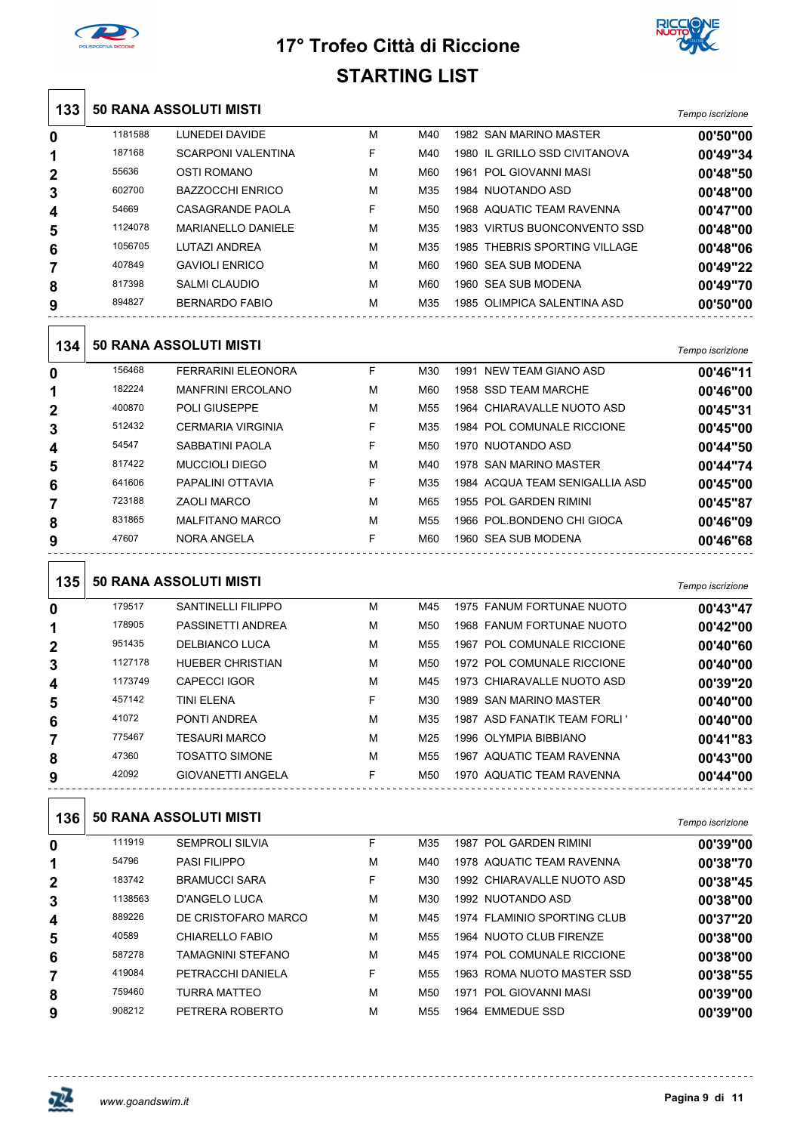



| 133              |         | <b>50 RANA ASSOLUTI MISTI</b> |    |                 |                                | Tempo iscrizione |
|------------------|---------|-------------------------------|----|-----------------|--------------------------------|------------------|
| 0                | 1181588 | LUNEDEI DAVIDE                | М  | M40             | 1982 SAN MARINO MASTER         | 00'50"00         |
| 1                | 187168  | <b>SCARPONI VALENTINA</b>     | F  | M40             | 1980 IL GRILLO SSD CIVITANOVA  | 00'49"34         |
| $\mathbf{2}$     | 55636   | <b>OSTI ROMANO</b>            | M  | M60             | 1961 POL GIOVANNI MASI         | 00'48"50         |
| 3                | 602700  | <b>BAZZOCCHI ENRICO</b>       | М  | M35             | 1984 NUOTANDO ASD              | 00'48"00         |
| 4                | 54669   | CASAGRANDE PAOLA              | F  | M <sub>50</sub> | 1968 AQUATIC TEAM RAVENNA      | 00'47"00         |
| 5                | 1124078 | <b>MARIANELLO DANIELE</b>     | M  | M35             | 1983 VIRTUS BUONCONVENTO SSD   | 00'48"00         |
| 6                | 1056705 | LUTAZI ANDREA                 | М  | M35             | 1985 THEBRIS SPORTING VILLAGE  | 00'48"06         |
| 7                | 407849  | <b>GAVIOLI ENRICO</b>         | М  | M60             | 1960 SEA SUB MODENA            | 00'49"22         |
| 8                | 817398  | <b>SALMI CLAUDIO</b>          | M  | M60             | 1960 SEA SUB MODENA            | 00'49"70         |
| 9                | 894827  | <b>BERNARDO FABIO</b>         | M  | M35             | 1985 OLIMPICA SALENTINA ASD    | 00'50"00         |
| 134              |         | <b>50 RANA ASSOLUTI MISTI</b> |    |                 |                                | Tempo iscrizione |
| 0                | 156468  | <b>FERRARINI ELEONORA</b>     | F  | M30             | 1991 NEW TEAM GIANO ASD        | 00'46"11         |
| 1                | 182224  | <b>MANFRINI ERCOLANO</b>      | M  | M60             | 1958 SSD TEAM MARCHE           | 00'46"00         |
| 2                | 400870  | <b>POLI GIUSEPPE</b>          | М  | M <sub>55</sub> | 1964 CHIARAVALLE NUOTO ASD     | 00'45"31         |
| 3                | 512432  | <b>CERMARIA VIRGINIA</b>      | F  | M35             | 1984 POL COMUNALE RICCIONE     | 00'45"00         |
| 4                | 54547   | SABBATINI PAOLA               | F  | M <sub>50</sub> | 1970 NUOTANDO ASD              | 00'44"50         |
| 5                | 817422  | <b>MUCCIOLI DIEGO</b>         | M  | M40             | 1978 SAN MARINO MASTER         | 00'44"74         |
| 6                | 641606  | PAPALINI OTTAVIA              | F  | M35             | 1984 ACQUA TEAM SENIGALLIA ASD | 00'45"00         |
| 7                | 723188  | <b>ZAOLI MARCO</b>            | M  | M65             | 1955 POL GARDEN RIMINI         | 00'45"87         |
| 8                | 831865  | <b>MALFITANO MARCO</b>        | М  | M55             | 1966 POL BONDENO CHI GIOCA     | 00'46"09         |
| 9                | 47607   | NORA ANGELA                   | F  | M60             | 1960 SEA SUB MODENA            | 00'46"68         |
| 135              |         | <b>50 RANA ASSOLUTI MISTI</b> |    |                 |                                | Tempo iscrizione |
| 0                | 179517  | <b>SANTINELLI FILIPPO</b>     | М  | M45             | 1975 FANUM FORTUNAE NUOTO      | 00'43"47         |
| 1                | 178905  | PASSINETTI ANDREA             | М  | M50             | 1968 FANUM FORTUNAE NUOTO      | 00'42"00         |
| $\mathbf{2}$     | 951435  | DELBIANCO LUCA                | M  | M55             | 1967 POL COMUNALE RICCIONE     | 00'40"60         |
| 3                | 1127178 | <b>HUEBER CHRISTIAN</b>       | M  | M50             | 1972 POL COMUNALE RICCIONE     | 00'40"00         |
| 4                | 1173749 | CAPECCI IGOR                  | M  | M45             | 1973 CHIARAVALLE NUOTO ASD     | 00'39"20         |
| 5                | 457142  | <b>TINI ELENA</b>             | F  | M30             | 1989 SAN MARINO MASTER         | 00'40"00         |
| 6                | 41072   | PONTI ANDREA                  | М  | M35             | 1987 ASD FANATIK TEAM FORLI '  | 00'40"00         |
| 7                | 775467  | <b>TESAURI MARCO</b>          | м  | M25             | 1996 OLYMPIA BIBBIANO          | 00'41"83         |
| 8                | 47360   | <b>TOSATTO SIMONE</b>         | м  | M55             | 1967 AQUATIC TEAM RAVENNA      | 00'43"00         |
| 9                | 42092   | <b>GIOVANETTI ANGELA</b>      | F. | M50             | 1970 AQUATIC TEAM RAVENNA      | 00'44"00         |
| 136              |         | <b>50 RANA ASSOLUTI MISTI</b> |    |                 |                                | Tempo iscrizione |
| $\boldsymbol{0}$ | 111919  | <b>SEMPROLI SILVIA</b>        | F  | M35             | 1987 POL GARDEN RIMINI         | 00'39"00         |
| 1                | 54796   | <b>PASI FILIPPO</b>           | м  | M40             | 1978 AQUATIC TEAM RAVENNA      | 00'38"70         |
| 2                | 183742  | <b>BRAMUCCI SARA</b>          | F  | M30             | 1992 CHIARAVALLE NUOTO ASD     | 00'38"45         |
| 3                | 1138563 | D'ANGELO LUCA                 | м  | M30             | 1992 NUOTANDO ASD              | 00'38"00         |
| 4                | 889226  | DE CRISTOFARO MARCO           | м  | M45             | 1974 FLAMINIO SPORTING CLUB    | 00'37"20         |
| 5                | 40589   | <b>CHIARELLO FABIO</b>        | М  | M55             | 1964 NUOTO CLUB FIRENZE        | 00'38"00         |
| 6                | 587278  | TAMAGNINI STEFANO             | М  | M45             | 1974 POL COMUNALE RICCIONE     | 00'38"00         |
| 7                | 419084  | PETRACCHI DANIELA             | F. | M55             | 1963 ROMA NUOTO MASTER SSD     | 00'38"55         |
| 8                | 759460  | TURRA MATTEO                  | М  | M50             | 1971 POL GIOVANNI MASI         | 00'39"00         |
| 9                | 908212  | PETRERA ROBERTO               | М  | M55             | 1964 EMMEDUE SSD               | 00'39"00         |

 $\ddotsc$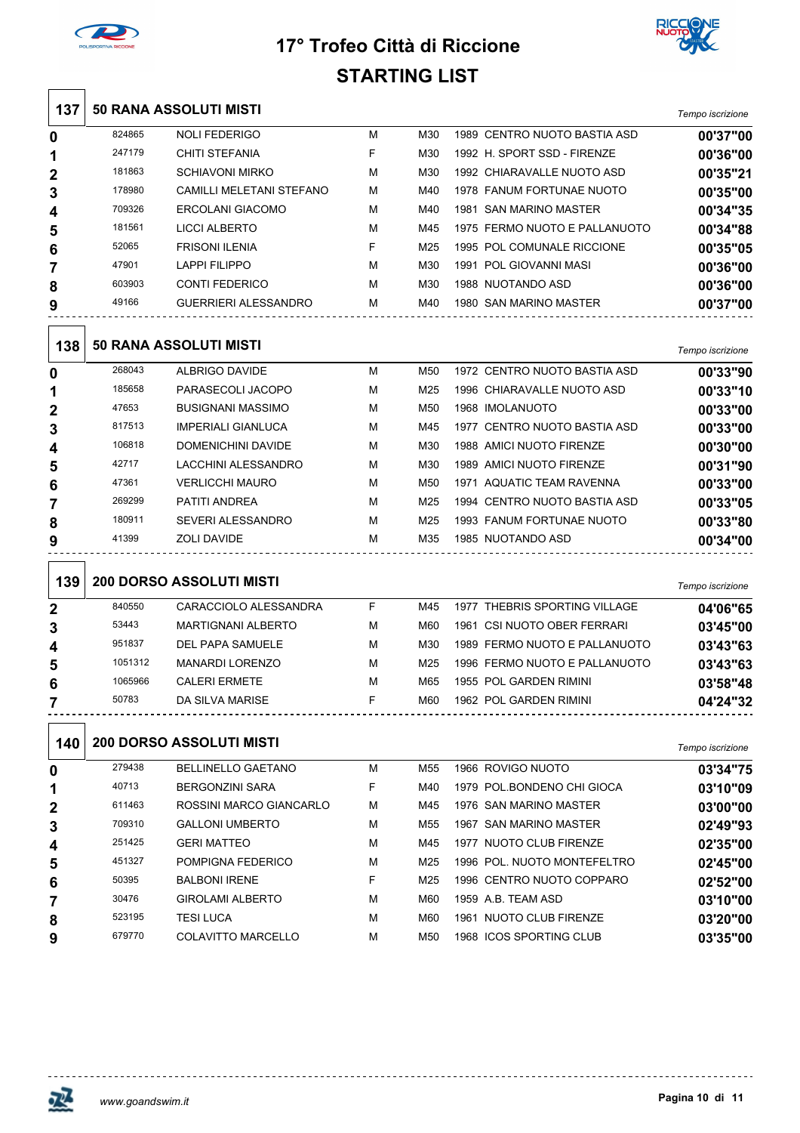



|                |         |                                 | STARTING LIST |                 |                               |                  |
|----------------|---------|---------------------------------|---------------|-----------------|-------------------------------|------------------|
| 137            |         | <b>50 RANA ASSOLUTI MISTI</b>   |               |                 |                               | Tempo iscrizione |
| 0              | 824865  | <b>NOLI FEDERIGO</b>            | М             | M30             | 1989 CENTRO NUOTO BASTIA ASD  | 00'37"00         |
| 1              | 247179  | CHITI STEFANIA                  | F             | M30             | 1992 H. SPORT SSD - FIRENZE   | 00'36"00         |
| 2              | 181863  | <b>SCHIAVONI MIRKO</b>          | М             | M30             | 1992 CHIARAVALLE NUOTO ASD    | 00'35"21         |
| 3              | 178980  | CAMILLI MELETANI STEFANO        | М             | M40             | 1978 FANUM FORTUNAE NUOTO     | 00'35"00         |
| 4              | 709326  | <b>ERCOLANI GIACOMO</b>         | М             | M40             | 1981 SAN MARINO MASTER        | 00'34"35         |
| 5              | 181561  | <b>LICCI ALBERTO</b>            | М             | M45             | 1975 FERMO NUOTO E PALLANUOTO | 00'34"88         |
| 6              | 52065   | <b>FRISONI ILENIA</b>           | F             | M25             | 1995 POL COMUNALE RICCIONE    | 00'35"05         |
| 7              | 47901   | <b>LAPPI FILIPPO</b>            | М             | M30             | 1991 POL GIOVANNI MASI        | 00'36"00         |
| 8              | 603903  | <b>CONTI FEDERICO</b>           | м             | M30             | 1988 NUOTANDO ASD             | 00'36"00         |
| 9              | 49166   | <b>GUERRIERI ALESSANDRO</b>     | М             | M40             | 1980 SAN MARINO MASTER        | 00'37"00         |
| 138            |         | <b>50 RANA ASSOLUTI MISTI</b>   |               |                 |                               | Tempo iscrizione |
| 0              | 268043  | ALBRIGO DAVIDE                  | М             | M50             | 1972 CENTRO NUOTO BASTIA ASD  | 00'33"90         |
| 1              | 185658  | PARASECOLI JACOPO               | м             | M25             | 1996 CHIARAVALLE NUOTO ASD    | 00'33"10         |
| $\overline{2}$ | 47653   | <b>BUSIGNANI MASSIMO</b>        | м             | M <sub>50</sub> | 1968 IMOLANUOTO               | 00'33"00         |
| 3              | 817513  | <b>IMPERIALI GIANLUCA</b>       | М             | M45             | 1977 CENTRO NUOTO BASTIA ASD  | 00'33"00         |
| 4              | 106818  | DOMENICHINI DAVIDE              | М             | M30             | 1988 AMICI NUOTO FIRENZE      | 00'30"00         |
| 5              | 42717   | LACCHINI ALESSANDRO             | М             | M30             | 1989 AMICI NUOTO FIRENZE      | 00'31"90         |
| 6              | 47361   | <b>VERLICCHI MAURO</b>          | М             | M <sub>50</sub> | 1971 AQUATIC TEAM RAVENNA     | 00'33"00         |
| 7              | 269299  | PATITI ANDREA                   | М             | M25             | 1994 CENTRO NUOTO BASTIA ASD  | 00'33"05         |
| 8              | 180911  | <b>SEVERI ALESSANDRO</b>        | м             | M <sub>25</sub> | 1993 FANUM FORTUNAE NUOTO     | 00'33"80         |
| 9              | 41399   | ZOLI DAVIDE                     | М             | M35             | 1985 NUOTANDO ASD             | 00'34"00         |
| 139            |         | <b>200 DORSO ASSOLUTI MISTI</b> |               |                 |                               | Tempo iscrizione |
| 2              | 840550  | CARACCIOLO ALESSANDRA           | F             | M45             | 1977 THEBRIS SPORTING VILLAGE | 04'06"65         |
| 3              | 53443   | <b>MARTIGNANI ALBERTO</b>       | М             | M60             | 1961 CSI NUOTO OBER FERRARI   | 03'45"00         |
| 4              | 951837  | <b>DEL PAPA SAMUELE</b>         | М             | M30             | 1989 FERMO NUOTO E PALLANUOTO | 03'43"63         |
| 5              | 1051312 | <b>MANARDI LORENZO</b>          | м             | M25             | 1996 FERMO NUOTO E PALLANUOTO | 03'43"63         |
| 6              | 1065966 | <b>CALERI ERMETE</b>            | М             | M65             | 1955 POL GARDEN RIMINI        | 03'58"48         |
| 7              | 50783   | DA SILVA MARISE                 | F.            | M60             | 1962 POL GARDEN RIMINI        | 04'24"32         |
| 140            |         | <b>200 DORSO ASSOLUTI MISTI</b> |               |                 |                               | Tempo iscrizione |
| 0              | 279438  | <b>BELLINELLO GAETANO</b>       | М             | M55             | 1966 ROVIGO NUOTO             | 03'34"75         |
| 1              | 40713   | <b>BERGONZINI SARA</b>          | F             | M40             | 1979 POL BONDENO CHI GIOCA    | 03'10"09         |
| 2              | 611463  | ROSSINI MARCO GIANCARLO         | м             | M45             | 1976 SAN MARINO MASTER        | 03'00"00         |
| 3              | 709310  | <b>GALLONI UMBERTO</b>          | М             | M55             | 1967 SAN MARINO MASTER        | 02'49"93         |
| 4              | 251425  | <b>GERI MATTEO</b>              | М             | M45             | 1977 NUOTO CLUB FIRENZE       | 02'35"00         |
| 5              | 451327  | POMPIGNA FEDERICO               | М             | M25             | 1996 POL. NUOTO MONTEFELTRO   | 02'45"00         |
| 6              | 50395   | <b>BALBONI IRENE</b>            | F.            | M25             | 1996 CENTRO NUOTO COPPARO     | 02'52"00         |
| 7              | 30476   | <b>GIROLAMI ALBERTO</b>         | М             | M60             | 1959 A.B. TEAM ASD            | 03'10"00         |
| 8              | 523195  | TESI LUCA                       | М             | M60             | 1961 NUOTO CLUB FIRENZE       | 03'20"00         |

COLAVITTO MARCELLO M M50 1968 ICOS SPORTING CLUB **03'35"00**